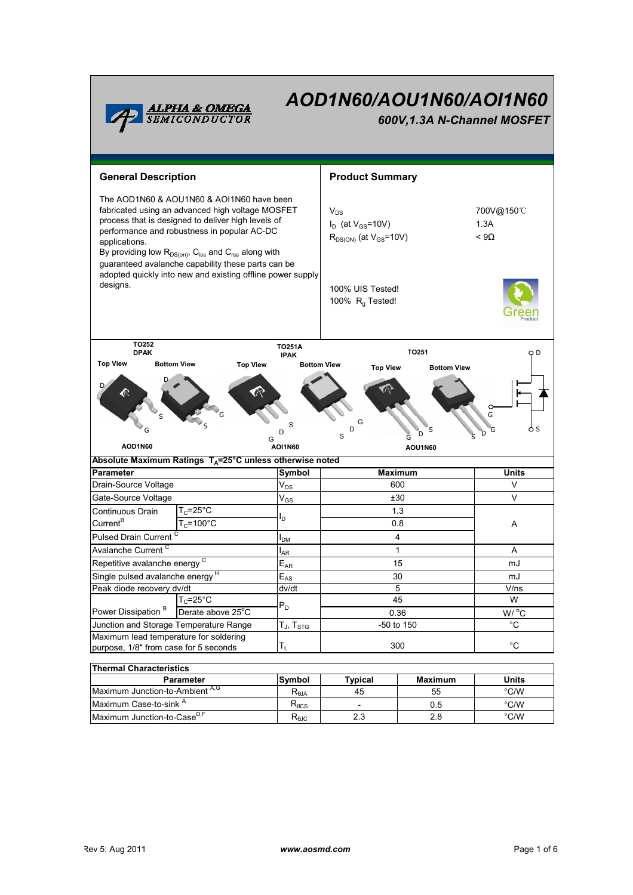

# AOD1N60/AOU1N60/AOI1N60

600V,1.3A N-Channel MOSFET

| <b>General Description</b>                                                                                                                                                                                                                                                                                                                      |                                                                      |                                                                       | <b>Product Summary</b>                                                      |           |                                   |  |  |
|-------------------------------------------------------------------------------------------------------------------------------------------------------------------------------------------------------------------------------------------------------------------------------------------------------------------------------------------------|----------------------------------------------------------------------|-----------------------------------------------------------------------|-----------------------------------------------------------------------------|-----------|-----------------------------------|--|--|
| The AOD1N60 & AOU1N60 & AOI1N60 have been<br>fabricated using an advanced high voltage MOSFET<br>process that is designed to deliver high levels of<br>performance and robustness in popular AC-DC<br>applications.<br>By providing low $R_{DS(on)}$ , $C_{iss}$ and $C_{rss}$ along with<br>guaranteed avalanche capability these parts can be |                                                                      |                                                                       | $V_{DS}$<br>$I_D$ (at $V_{GS}$ =10V)<br>$R_{DS(ON)}$ (at $V_{GS}$ =10V)     |           | 700V@150°C<br>1.3A<br>$< 9\Omega$ |  |  |
| adopted quickly into new and existing offline power supply<br>designs.                                                                                                                                                                                                                                                                          |                                                                      | 100% UIS Tested!<br>100% $R_q$ Tested!                                |                                                                             |           |                                   |  |  |
| TO252                                                                                                                                                                                                                                                                                                                                           |                                                                      | <b>TO251A</b>                                                         |                                                                             |           |                                   |  |  |
| <b>DPAK</b><br><b>Top View</b><br><b>Bottom View</b><br><b>Top View</b>                                                                                                                                                                                                                                                                         |                                                                      | <b>IPAK</b>                                                           | TO251<br>O D<br><b>Bottom View</b><br><b>Top View</b><br><b>Bottom View</b> |           |                                   |  |  |
| G<br>S<br>o s<br>D<br>Ġ<br>D<br>D)<br>D<br>Ĝ<br>S<br>G<br>AOD1N60<br><b>AOI1N60</b><br>AOU1N60                                                                                                                                                                                                                                                  |                                                                      |                                                                       |                                                                             |           |                                   |  |  |
|                                                                                                                                                                                                                                                                                                                                                 | Absolute Maximum Ratings T <sub>A</sub> =25°C unless otherwise noted |                                                                       |                                                                             |           |                                   |  |  |
| <b>Parameter</b>                                                                                                                                                                                                                                                                                                                                |                                                                      | Symbol<br>$V_{DS}$                                                    | <b>Maximum</b>                                                              |           | <b>Units</b>                      |  |  |
|                                                                                                                                                                                                                                                                                                                                                 | Drain-Source Voltage                                                 |                                                                       | 600                                                                         |           | V                                 |  |  |
| Gate-Source Voltage                                                                                                                                                                                                                                                                                                                             |                                                                      | $V_{GS}$                                                              |                                                                             | ±30       |                                   |  |  |
| Continuous Drain                                                                                                                                                                                                                                                                                                                                | $T_c = 25$ °C                                                        | l <sub>D.</sub>                                                       | 1.3<br>0.8                                                                  |           | Α                                 |  |  |
| Current <sup>B</sup>                                                                                                                                                                                                                                                                                                                            | $T_c = 100^{\circ}$ C                                                |                                                                       |                                                                             |           |                                   |  |  |
| Pulsed Drain Current <sup>C</sup>                                                                                                                                                                                                                                                                                                               |                                                                      | I <sub>DM</sub>                                                       | 4                                                                           |           |                                   |  |  |
| Avalanche Current <sup>C</sup>                                                                                                                                                                                                                                                                                                                  |                                                                      | l <sub>AR</sub>                                                       | $\mathbf{1}$                                                                |           |                                   |  |  |
| Repetitive avalanche energy <sup>C</sup>                                                                                                                                                                                                                                                                                                        |                                                                      |                                                                       |                                                                             |           | A                                 |  |  |
| Single pulsed avalanche energy <sup>H</sup>                                                                                                                                                                                                                                                                                                     |                                                                      | $E_{AR}$                                                              | 15                                                                          |           | mJ                                |  |  |
|                                                                                                                                                                                                                                                                                                                                                 |                                                                      | $E_{AS}$                                                              | 30                                                                          |           | mJ                                |  |  |
| Peak diode recovery dv/dt                                                                                                                                                                                                                                                                                                                       |                                                                      | dv/dt                                                                 | 5                                                                           |           | V/ns                              |  |  |
|                                                                                                                                                                                                                                                                                                                                                 | $T_c = 25^{\circ}$ C                                                 | $P_D$                                                                 | 45                                                                          |           | W                                 |  |  |
| Power Dissipation <sup>B</sup>                                                                                                                                                                                                                                                                                                                  | Derate above 25°C                                                    | $T_{\rm H}$ , $T_{\rm src}$                                           | 0.36                                                                        |           | W/ °C                             |  |  |
| Junction and Storage Temperature Range                                                                                                                                                                                                                                                                                                          |                                                                      |                                                                       | -50 to 150                                                                  |           | $^{\circ}C$                       |  |  |
| Maximum lead temperature for soldering<br>purpose, 1/8" from case for 5 seconds                                                                                                                                                                                                                                                                 |                                                                      | $T_L$                                                                 | 300                                                                         |           | $^{\circ}$ C                      |  |  |
|                                                                                                                                                                                                                                                                                                                                                 |                                                                      |                                                                       |                                                                             |           |                                   |  |  |
| <b>Thermal Characteristics</b>                                                                                                                                                                                                                                                                                                                  |                                                                      |                                                                       |                                                                             |           |                                   |  |  |
|                                                                                                                                                                                                                                                                                                                                                 | Parameter                                                            | Symbol                                                                | <b>Typical</b>                                                              | Maximum   | Units                             |  |  |
| Maximum Junction-to-Ambient A,G<br>Maximum Case-to-sink A                                                                                                                                                                                                                                                                                       |                                                                      | $\mathsf{R}_{\scriptscriptstyle\theta\mathsf{JA}}$<br>$R_{\theta CS}$ | 45                                                                          | 55<br>0.5 | $\degree$ C/W<br>$\degree$ C/W    |  |  |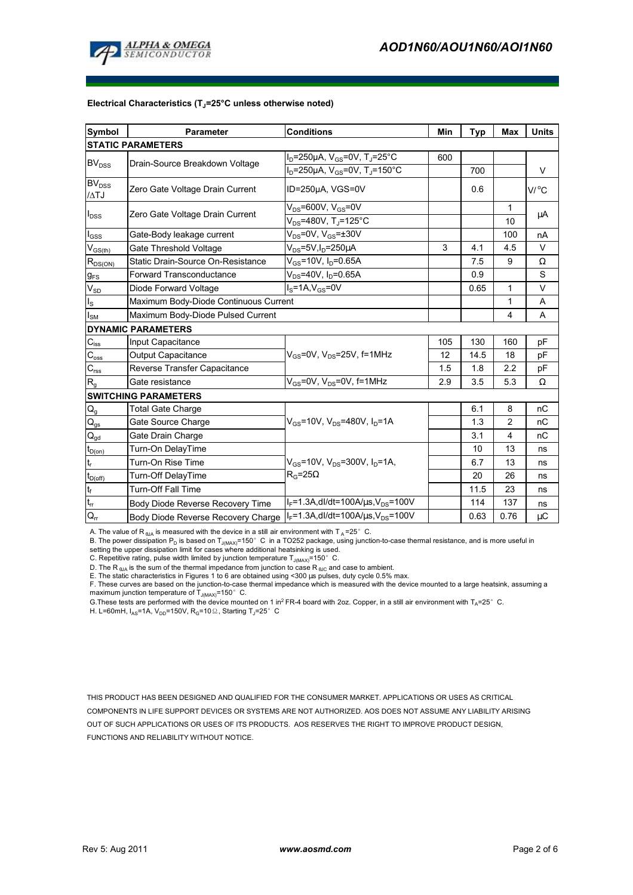

#### Electrical Characteristics  $(T_J=25^{\circ}C$  unless otherwise noted)

| Symbol                      | <b>Parameter</b>                      | <b>Conditions</b>                                               | Min | <b>Typ</b> | Max            | <b>Units</b> |  |  |  |  |
|-----------------------------|---------------------------------------|-----------------------------------------------------------------|-----|------------|----------------|--------------|--|--|--|--|
| <b>STATIC PARAMETERS</b>    |                                       |                                                                 |     |            |                |              |  |  |  |  |
| BV <sub>DSS</sub>           | Drain-Source Breakdown Voltage        | $I_D$ =250µA, $V_{GS}$ =0V, T <sub>J</sub> =25°C                | 600 |            |                |              |  |  |  |  |
|                             |                                       | $I_D = 250 \mu A$ , $V_{GS} = 0V$ , T <sub>J</sub> =150°C       |     | 700        |                | V            |  |  |  |  |
| $BV_{DSS}$<br>$\Lambda$ TJ  | Zero Gate Voltage Drain Current       | ID=250µA, VGS=0V                                                |     | 0.6        |                | V/°C         |  |  |  |  |
| $I_{DSS}$                   | Zero Gate Voltage Drain Current       | $V_{DS}$ =600V, $V_{GS}$ =0V                                    |     |            | $\mathbf{1}$   | μA           |  |  |  |  |
|                             |                                       | $V_{DS}$ =480V, T <sub>J</sub> =125°C                           |     |            | 10             |              |  |  |  |  |
| $I_{GSS}$                   | Gate-Body leakage current             | $V_{DS}$ =0V, $V_{GS}$ = $\pm$ 30V                              |     |            | 100            | nA           |  |  |  |  |
| $V_{GS(th)}$                | Gate Threshold Voltage                | $V_{DS}$ =5V, I <sub>D</sub> =250µA                             | 3   | 4.1        | 4.5            | V            |  |  |  |  |
| $R_{DS(ON)}$                | Static Drain-Source On-Resistance     | $V_{GS}$ =10V, I <sub>D</sub> =0.65A                            |     | 7.5        | 9              | Ω            |  |  |  |  |
| $g_{FS}$                    | <b>Forward Transconductance</b>       | $V_{DS}$ =40V, I <sub>D</sub> =0.65A                            |     | 0.9        |                | S            |  |  |  |  |
| $V_{SD}$                    | Diode Forward Voltage                 | $IS=1A, VGS=0V$                                                 |     | 0.65       | 1              | V            |  |  |  |  |
| $I_{\rm S}$                 | Maximum Body-Diode Continuous Current |                                                                 |     |            | $\mathbf{1}$   | A            |  |  |  |  |
| $I_{\mathsf{SM}}$           | Maximum Body-Diode Pulsed Current     |                                                                 |     |            | 4              | A            |  |  |  |  |
|                             | <b>DYNAMIC PARAMETERS</b>             |                                                                 |     |            |                |              |  |  |  |  |
| $C_{iss}$                   | Input Capacitance                     |                                                                 | 105 | 130        | 160            | рF           |  |  |  |  |
| $C_{\rm oss}$               | Output Capacitance                    | $V_{GS}$ =0V, $V_{DS}$ =25V, f=1MHz                             | 12  | 14.5       | 18             | рF           |  |  |  |  |
| $\mathbf{C}_{\text{rss}}$   | Reverse Transfer Capacitance          |                                                                 | 1.5 | 1.8        | 2.2            | pF           |  |  |  |  |
| $R_{q}$                     | Gate resistance                       | $V_{\text{GS}}$ =0V, V <sub>DS</sub> =0V, f=1MHz                | 2.9 | 3.5        | 5.3            | Ω            |  |  |  |  |
| <b>SWITCHING PARAMETERS</b> |                                       |                                                                 |     |            |                |              |  |  |  |  |
| $Q_g$                       | <b>Total Gate Charge</b>              |                                                                 |     | 6.1        | 8              | nC           |  |  |  |  |
| $\mathsf{Q}_{\mathsf{gs}}$  | Gate Source Charge                    | $V_{\text{GS}}$ =10V, $V_{\text{DS}}$ =480V, $I_{\text{D}}$ =1A |     | 1.3        | $\overline{2}$ | nC           |  |  |  |  |
| $Q_{gd}$                    | Gate Drain Charge                     |                                                                 |     | 3.1        | 4              | nC           |  |  |  |  |
| $t_{D(0n)}$                 | Turn-On DelayTime                     |                                                                 |     | 10         | 13             | ns           |  |  |  |  |
| $t_r$                       | Turn-On Rise Time                     | $V_{GS}$ =10V, $V_{DS}$ =300V, $I_D$ =1A,                       |     | 6.7        | 13             | ns           |  |  |  |  |
| $t_{D(off)}$                | Turn-Off DelayTime                    | $R_G = 25\Omega$                                                |     | 20         | 26             | ns           |  |  |  |  |
| t <sub>f</sub>              | <b>Turn-Off Fall Time</b>             |                                                                 |     | 11.5       | 23             | ns           |  |  |  |  |
| $t_{\rm rr}$                | Body Diode Reverse Recovery Time      | $I_F = 1.3A$ , dl/dt=100A/ $\mu$ s, V <sub>DS</sub> =100V       |     | 114        | 137            | ns           |  |  |  |  |
| $Q_{rr}$                    | Body Diode Reverse Recovery Charge    | $I_F = 1.3A$ , dl/dt=100A/ $\mu$ s, V <sub>DS</sub> =100V       |     | 0.63       | 0.76           | μC           |  |  |  |  |

A. The value of R  $_{\rm 6JA}$  is measured with the device in a still air environment with T  $_{\rm A}$ =25° C.

B. The power dissipation P<sub>D</sub> is based on T<sub>J(MAX)</sub>=150°C in a TO252 package, using junction-to-case thermal resistance, and is more useful in<br>setting the upper dissipation limit for cases where additional heatsinking is u

C. Repetitive rating, pulse width limited by junction temperature  $T_{J(MAX)}$ =150°C.

D. The R  $_{\rm \thetaJA}$  is the sum of the thermal impedance from junction to case R  $_{\rm \thetaJC}$  and case to ambient.

E. The static characteristics in Figures 1 to 6 are obtained using <300 µs pulses, duty cycle 0.5% max.

F. These curves are based on the junction-to-case thermal impedance which is measured with the device mounted to a large heatsink, assuming a maximum junction temperature of  $T_{J(MAX)}$ =150° C.

G. These tests are performed with the device mounted on 1 in<sup>2</sup> FR-4 board with 2oz. Copper, in a still air environment with T<sub>A</sub>=25°C.

H. L=60mH,  $I_{AS}$ =1A, V<sub>DD</sub>=150V, R<sub>G</sub>=10 $\Omega$ , Starting T<sub>J</sub>=25°C

THIS PRODUCT HAS BEEN DESIGNED AND QUALIFIED FOR THE CONSUMER MARKET. APPLICATIONS OR USES AS CRITICAL COMPONENTS IN LIFE SUPPORT DEVICES OR SYSTEMS ARE NOT AUTHORIZED. AOS DOES NOT ASSUME ANY LIABILITY ARISING OUT OF SUCH APPLICATIONS OR USES OF ITS PRODUCTS. AOS RESERVES THE RIGHT TO IMPROVE PRODUCT DESIGN, FUNCTIONS AND RELIABILITY WITHOUT NOTICE.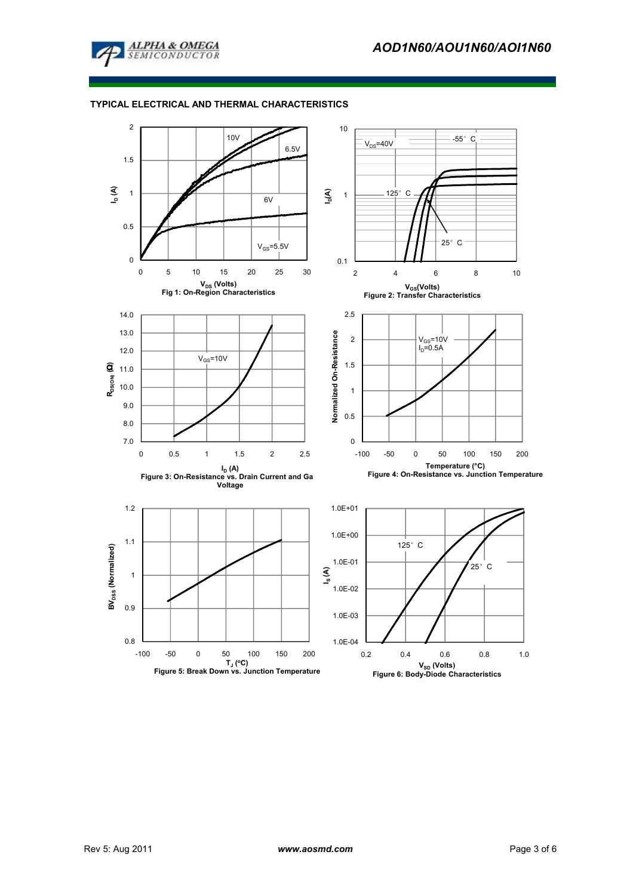

#### TYPICAL ELECTRICAL AND THERMAL CHARACTERISTICS

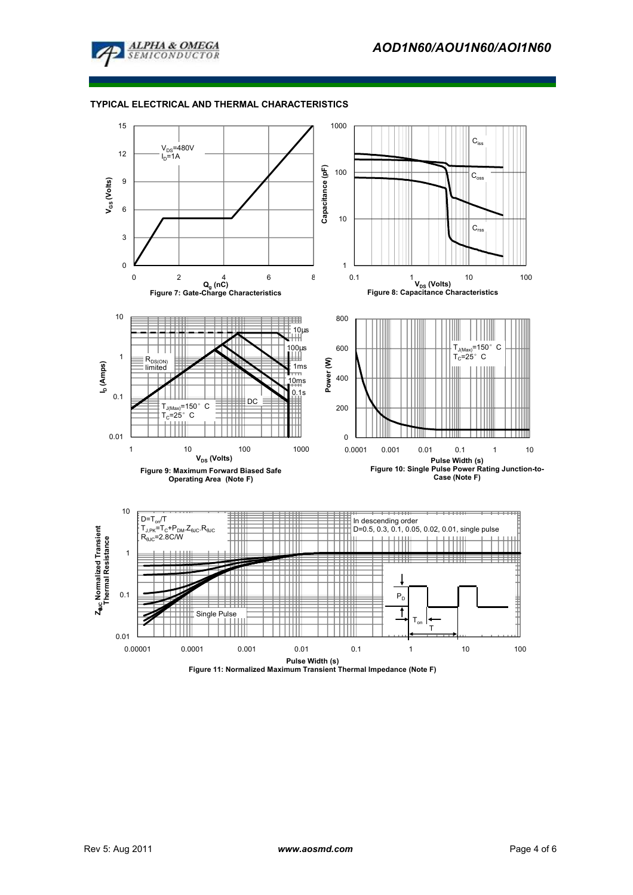

#### TYPICAL ELECTRICAL AND THERMAL CHARACTERISTICS

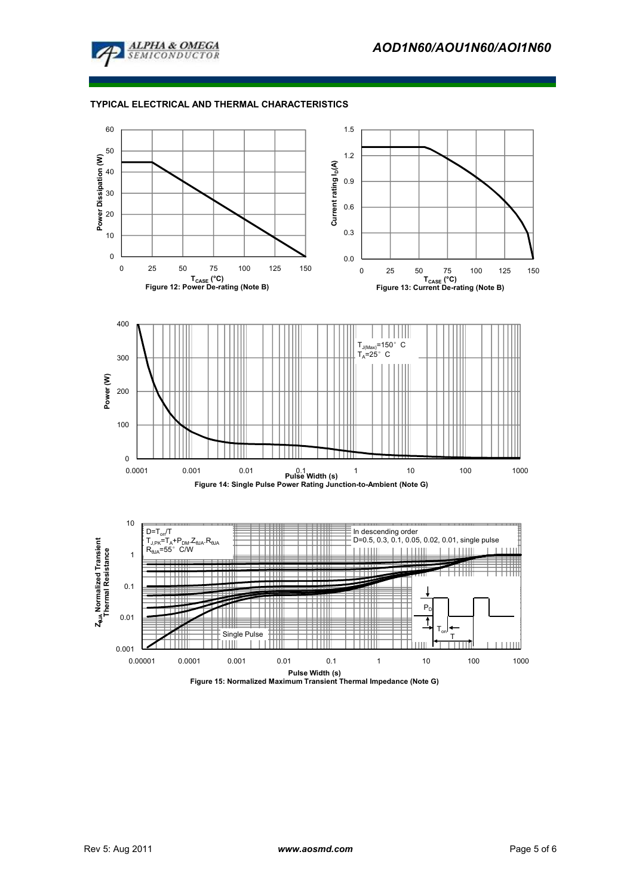

#### TYPICAL ELECTRICAL AND THERMAL CHARACTERISTICS